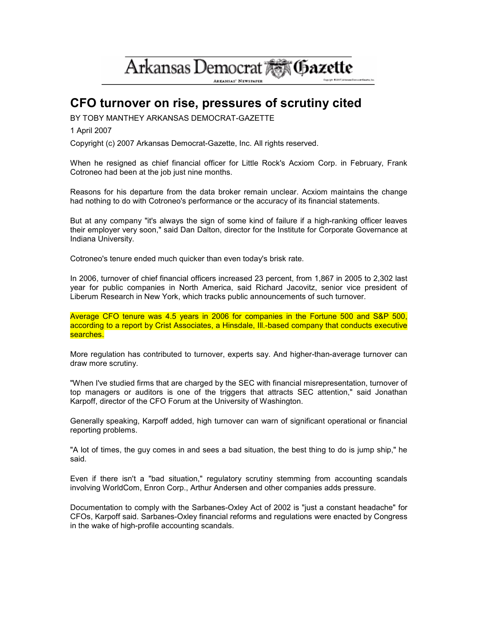# Arkansas Democrat AM Gazette

**ARKANSAS' NEWSPAPER** 

# CFO turnover on rise, pressures of scrutiny cited

BY TOBY MANTHEY ARKANSAS DEMOCRAT-GAZETTE

1 April 2007

Copyright (c) 2007 Arkansas Democrat-Gazette, Inc. All rights reserved.

When he resigned as chief financial officer for Little Rock's Acxiom Corp. in February, Frank Cotroneo had been at the job just nine months.

Reasons for his departure from the data broker remain unclear. Acxiom maintains the change had nothing to do with Cotroneo's performance or the accuracy of its financial statements.

But at any company "it's always the sign of some kind of failure if a high-ranking officer leaves their employer very soon," said Dan Dalton, director for the Institute for Corporate Governance at Indiana University.

Cotroneo's tenure ended much quicker than even today's brisk rate.

In 2006, turnover of chief financial officers increased 23 percent, from 1,867 in 2005 to 2,302 last year for public companies in North America, said Richard Jacovitz, senior vice president of Liberum Research in New York, which tracks public announcements of such turnover.

Average CFO tenure was 4.5 years in 2006 for companies in the Fortune 500 and S&P 500, according to a report by Crist Associates, a Hinsdale, III.-based company that conducts executive searches.

More regulation has contributed to turnover, experts say. And higher-than-average turnover can draw more scrutiny.

"When I've studied firms that are charged by the SEC with financial misrepresentation, turnover of top managers or auditors is one of the triggers that attracts SEC attention," said Jonathan Karpoff, director of the CFO Forum at the University of Washington.

Generally speaking, Karpoff added, high turnover can warn of significant operational or financial reporting problems.

"A lot of times, the guy comes in and sees a bad situation, the best thing to do is jump ship," he said.

Even if there isn't a "bad situation," regulatory scrutiny stemming from accounting scandals involving WorldCom, Enron Corp., Arthur Andersen and other companies adds pressure.

Documentation to comply with the Sarbanes-Oxley Act of 2002 is "just a constant headache" for CFOs, Karpoff said. Sarbanes-Oxley financial reforms and regulations were enacted by Congress in the wake of high-profile accounting scandals.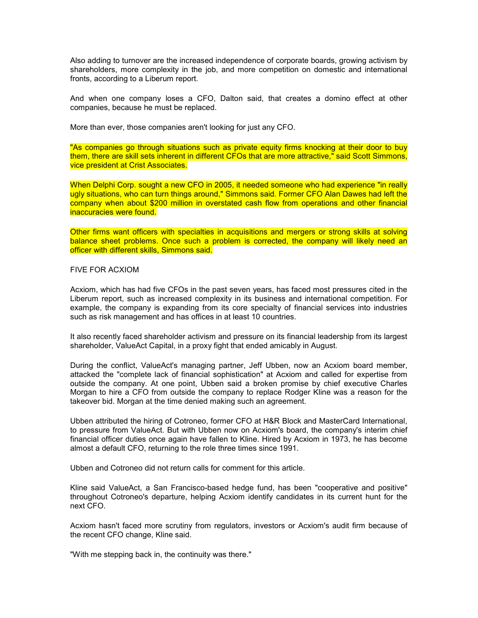Also adding to turnover are the increased independence of corporate boards, growing activism by shareholders, more complexity in the job, and more competition on domestic and international fronts, according to a Liberum report.

And when one company loses a CFO, Dalton said, that creates a domino effect at other companies, because he must be replaced.

More than ever, those companies aren't looking for just any CFO.

"As companies go through situations such as private equity firms knocking at their door to buy them, there are skill sets inherent in different CFOs that are more attractive," said Scott Simmons, vice president at Crist Associates.

When Delphi Corp. sought a new CFO in 2005, it needed someone who had experience "in really ugly situations, who can turn things around," Simmons said. Former CFO Alan Dawes had left the company when about \$200 million in overstated cash flow from operations and other financial inaccuracies were found.

Other firms want officers with specialties in acquisitions and mergers or strong skills at solving balance sheet problems. Once such a problem is corrected, the company will likely need an officer with different skills, Simmons said.

### FIVE FOR ACXIOM

Acxiom, which has had five CFOs in the past seven years, has faced most pressures cited in the Liberum report, such as increased complexity in its business and international competition. For example, the company is expanding from its core specialty of financial services into industries such as risk management and has offices in at least 10 countries.

It also recently faced shareholder activism and pressure on its financial leadership from its largest shareholder, ValueAct Capital, in a proxy fight that ended amicably in August.

During the conflict, ValueAct's managing partner, Jeff Ubben, now an Acxiom board member, attacked the "complete lack of financial sophistication" at Acxiom and called for expertise from outside the company. At one point, Ubben said a broken promise by chief executive Charles Morgan to hire a CFO from outside the company to replace Rodger Kline was a reason for the takeover bid. Morgan at the time denied making such an agreement.

Ubben attributed the hiring of Cotroneo, former CFO at H&R Block and MasterCard International, to pressure from ValueAct. But with Ubben now on Acxiom's board, the company's interim chief financial officer duties once again have fallen to Kline. Hired by Acxiom in 1973, he has become almost a default CFO, returning to the role three times since 1991.

Ubben and Cotroneo did not return calls for comment for this article.

Kline said ValueAct, a San Francisco-based hedge fund, has been "cooperative and positive" throughout Cotroneo's departure, helping Acxiom identify candidates in its current hunt for the next CFO.

Acxiom hasn't faced more scrutiny from regulators, investors or Acxiom's audit firm because of the recent CFO change, Kline said.

"With me stepping back in, the continuity was there."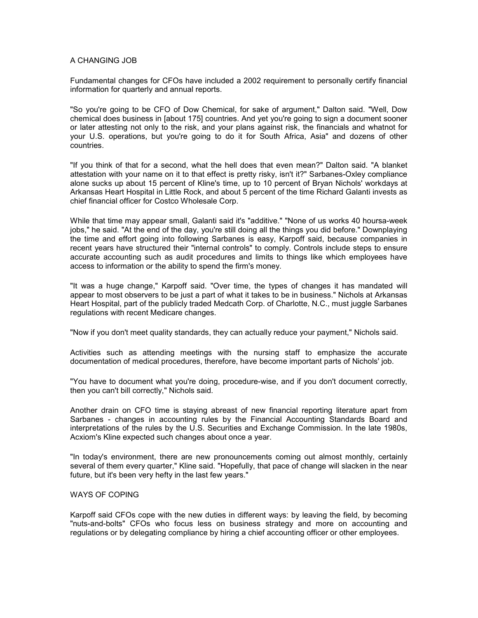## A CHANGING JOB

Fundamental changes for CFOs have included a 2002 requirement to personally certify financial information for quarterly and annual reports.

"So you're going to be CFO of Dow Chemical, for sake of argument," Dalton said. "Well, Dow chemical does business in [about 175] countries. And yet you're going to sign a document sooner or later attesting not only to the risk, and your plans against risk, the financials and whatnot for your U.S. operations, but you're going to do it for South Africa, Asia" and dozens of other countries.

"If you think of that for a second, what the hell does that even mean?" Dalton said. "A blanket attestation with your name on it to that effect is pretty risky, isn't it?" Sarbanes-Oxley compliance alone sucks up about 15 percent of Kline's time, up to 10 percent of Bryan Nichols' workdays at Arkansas Heart Hospital in Little Rock, and about 5 percent of the time Richard Galanti invests as chief financial officer for Costco Wholesale Corp.

While that time may appear small, Galanti said it's "additive." "None of us works 40 hoursa-week jobs," he said. "At the end of the day, you're still doing all the things you did before." Downplaying the time and effort going into following Sarbanes is easy, Karpoff said, because companies in recent years have structured their "internal controls" to comply. Controls include steps to ensure accurate accounting such as audit procedures and limits to things like which employees have access to information or the ability to spend the firm's money.

"It was a huge change," Karpoff said. "Over time, the types of changes it has mandated will appear to most observers to be just a part of what it takes to be in business." Nichols at Arkansas Heart Hospital, part of the publicly traded Medcath Corp. of Charlotte, N.C., must juggle Sarbanes regulations with recent Medicare changes.

"Now if you don't meet quality standards, they can actually reduce your payment," Nichols said.

Activities such as attending meetings with the nursing staff to emphasize the accurate documentation of medical procedures, therefore, have become important parts of Nichols' job.

"You have to document what you're doing, procedure-wise, and if you don't document correctly, then you can't bill correctly," Nichols said.

Another drain on CFO time is staying abreast of new financial reporting literature apart from Sarbanes - changes in accounting rules by the Financial Accounting Standards Board and interpretations of the rules by the U.S. Securities and Exchange Commission. In the late 1980s, Acxiom's Kline expected such changes about once a year.

"In today's environment, there are new pronouncements coming out almost monthly, certainly several of them every quarter," Kline said. "Hopefully, that pace of change will slacken in the near future, but it's been very hefty in the last few years."

#### WAYS OF COPING

Karpoff said CFOs cope with the new duties in different ways: by leaving the field, by becoming "nuts-and-bolts" CFOs who focus less on business strategy and more on accounting and regulations or by delegating compliance by hiring a chief accounting officer or other employees.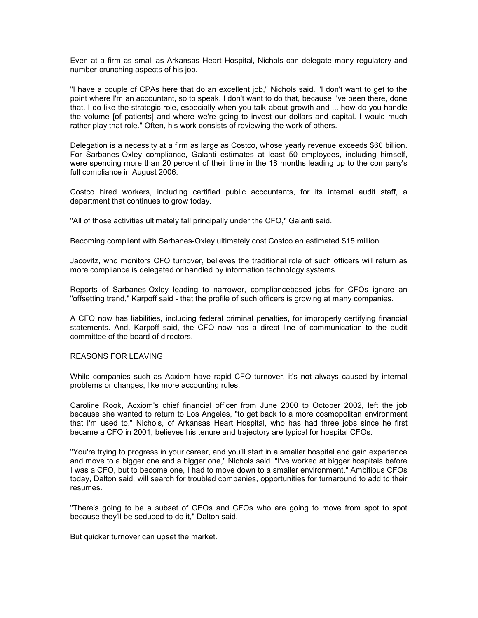Even at a firm as small as Arkansas Heart Hospital, Nichols can delegate many regulatory and number-crunching aspects of his job.

"I have a couple of CPAs here that do an excellent job," Nichols said. "I don't want to get to the point where I'm an accountant, so to speak. I don't want to do that, because I've been there, done that. I do like the strategic role, especially when you talk about growth and ... how do you handle the volume [of patients] and where we're going to invest our dollars and capital. I would much rather play that role." Often, his work consists of reviewing the work of others.

Delegation is a necessity at a firm as large as Costco, whose yearly revenue exceeds \$60 billion. For Sarbanes-Oxley compliance, Galanti estimates at least 50 employees, including himself, were spending more than 20 percent of their time in the 18 months leading up to the company's full compliance in August 2006.

Costco hired workers, including certified public accountants, for its internal audit staff, a department that continues to grow today.

"All of those activities ultimately fall principally under the CFO," Galanti said.

Becoming compliant with Sarbanes-Oxley ultimately cost Costco an estimated \$15 million.

Jacovitz, who monitors CFO turnover, believes the traditional role of such officers will return as more compliance is delegated or handled by information technology systems.

Reports of Sarbanes-Oxley leading to narrower, compliancebased jobs for CFOs ignore an "offsetting trend," Karpoff said - that the profile of such officers is growing at many companies.

A CFO now has liabilities, including federal criminal penalties, for improperly certifying financial statements. And, Karpoff said, the CFO now has a direct line of communication to the audit committee of the board of directors.

#### REASONS FOR LEAVING

While companies such as Acxiom have rapid CFO turnover, it's not always caused by internal problems or changes, like more accounting rules.

Caroline Rook, Acxiom's chief financial officer from June 2000 to October 2002, left the job because she wanted to return to Los Angeles, "to get back to a more cosmopolitan environment that I'm used to." Nichols, of Arkansas Heart Hospital, who has had three jobs since he first became a CFO in 2001, believes his tenure and trajectory are typical for hospital CFOs.

"You're trying to progress in your career, and you'll start in a smaller hospital and gain experience and move to a bigger one and a bigger one," Nichols said. "I've worked at bigger hospitals before I was a CFO, but to become one, I had to move down to a smaller environment." Ambitious CFOs today, Dalton said, will search for troubled companies, opportunities for turnaround to add to their resumes.

"There's going to be a subset of CEOs and CFOs who are going to move from spot to spot because they'll be seduced to do it," Dalton said.

But quicker turnover can upset the market.